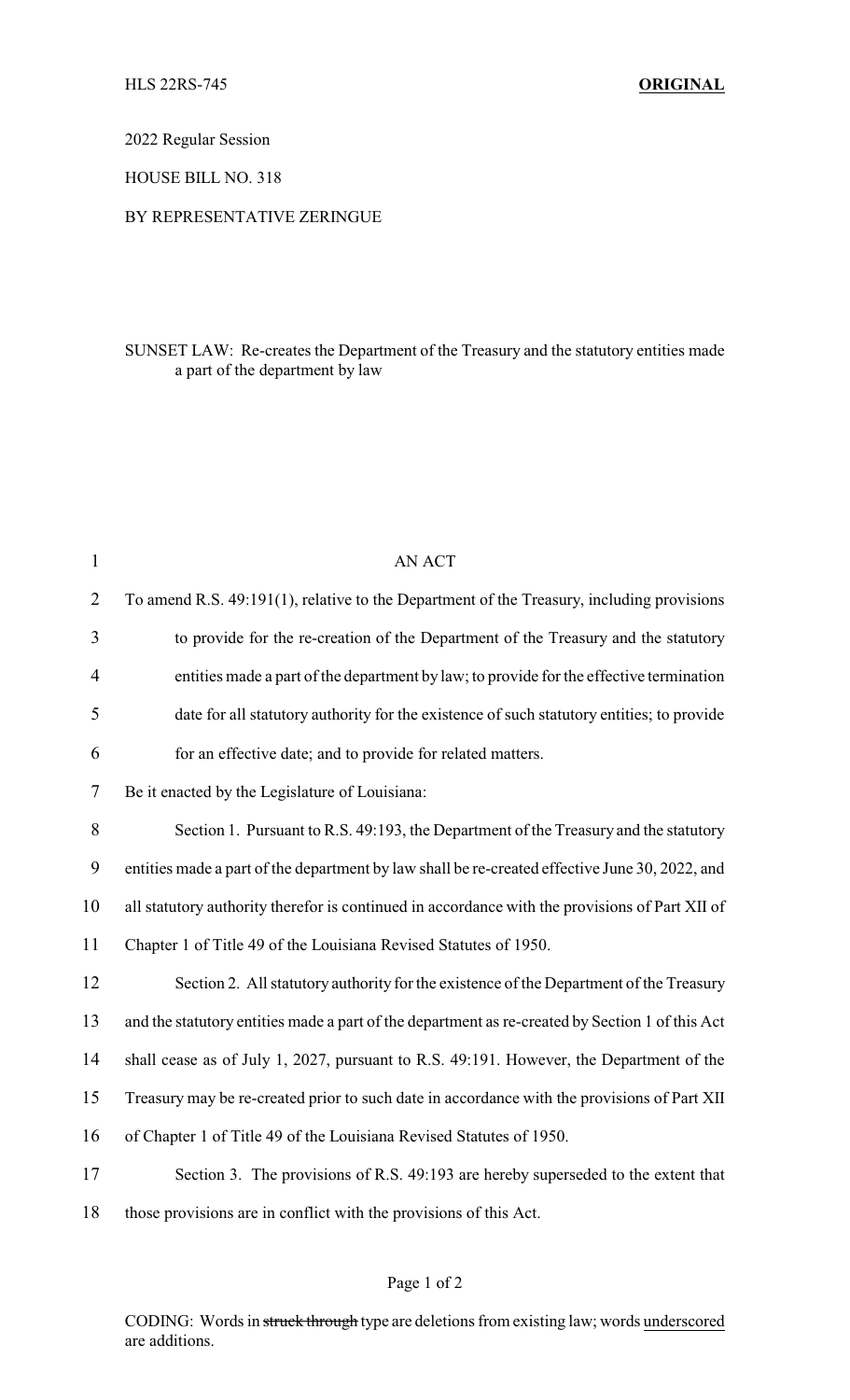2022 Regular Session

HOUSE BILL NO. 318

## BY REPRESENTATIVE ZERINGUE

## SUNSET LAW: Re-creates the Department of the Treasury and the statutory entities made a part of the department by law

| $\mathbf{1}$   | AN ACT                                                                                          |
|----------------|-------------------------------------------------------------------------------------------------|
| $\overline{2}$ | To amend R.S. 49:191(1), relative to the Department of the Treasury, including provisions       |
| 3              | to provide for the re-creation of the Department of the Treasury and the statutory              |
| $\overline{4}$ | entities made a part of the department by law; to provide for the effective termination         |
| 5              | date for all statutory authority for the existence of such statutory entities; to provide       |
| 6              | for an effective date; and to provide for related matters.                                      |
| 7              | Be it enacted by the Legislature of Louisiana:                                                  |
| 8              | Section 1. Pursuant to R.S. 49:193, the Department of the Treasury and the statutory            |
| 9              | entities made a part of the department by law shall be re-created effective June 30, 2022, and  |
| 10             | all statutory authority therefor is continued in accordance with the provisions of Part XII of  |
| 11             | Chapter 1 of Title 49 of the Louisiana Revised Statutes of 1950.                                |
| 12             | Section 2. All statutory authority for the existence of the Department of the Treasury          |
| 13             | and the statutory entities made a part of the department as re-created by Section 1 of this Act |
| 14             | shall cease as of July 1, 2027, pursuant to R.S. 49:191. However, the Department of the         |
| 15             | Treasury may be re-created prior to such date in accordance with the provisions of Part XII     |
| 16             | of Chapter 1 of Title 49 of the Louisiana Revised Statutes of 1950.                             |
| 17             | Section 3. The provisions of R.S. 49:193 are hereby superseded to the extent that               |
| 18             | those provisions are in conflict with the provisions of this Act.                               |

## Page 1 of 2

CODING: Words in struck through type are deletions from existing law; words underscored are additions.